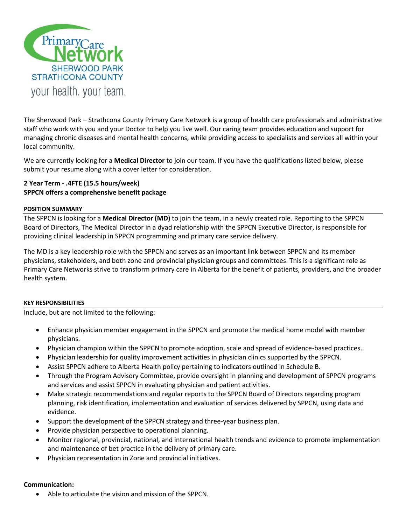

The Sherwood Park – Strathcona County Primary Care Network is a group of health care professionals and administrative staff who work with you and your Doctor to help you live well. Our caring team provides education and support for managing chronic diseases and mental health concerns, while providing access to specialists and services all within your local community.

We are currently looking for a **Medical Director** to join our team. If you have the qualifications listed below, please submit your resume along with a cover letter for consideration.

# **2 Year Term - .4FTE (15.5 hours/week) SPPCN offers a comprehensive benefit package**

### **POSITION SUMMARY**

The SPPCN is looking for a **Medical Director (MD)** to join the team, in a newly created role. Reporting to the SPPCN Board of Directors, The Medical Director in a dyad relationship with the SPPCN Executive Director, is responsible for providing clinical leadership in SPPCN programming and primary care service delivery.

The MD is a key leadership role with the SPPCN and serves as an important link between SPPCN and its member physicians, stakeholders, and both zone and provincial physician groups and committees. This is a significant role as Primary Care Networks strive to transform primary care in Alberta for the benefit of patients, providers, and the broader health system.

#### **KEY RESPONSIBILITIES**

Include, but are not limited to the following:

- Enhance physician member engagement in the SPPCN and promote the medical home model with member physicians.
- Physician champion within the SPPCN to promote adoption, scale and spread of evidence-based practices.
- Physician leadership for quality improvement activities in physician clinics supported by the SPPCN.
- Assist SPPCN adhere to Alberta Health policy pertaining to indicators outlined in Schedule B.
- Through the Program Advisory Committee, provide oversight in planning and development of SPPCN programs and services and assist SPPCN in evaluating physician and patient activities.
- Make strategic recommendations and regular reports to the SPPCN Board of Directors regarding program planning, risk identification, implementation and evaluation of services delivered by SPPCN, using data and evidence.
- Support the development of the SPPCN strategy and three-year business plan.
- Provide physician perspective to operational planning.
- Monitor regional, provincial, national, and international health trends and evidence to promote implementation and maintenance of bet practice in the delivery of primary care.
- Physician representation in Zone and provincial initiatives.

# **Communication:**

Able to articulate the vision and mission of the SPPCN.